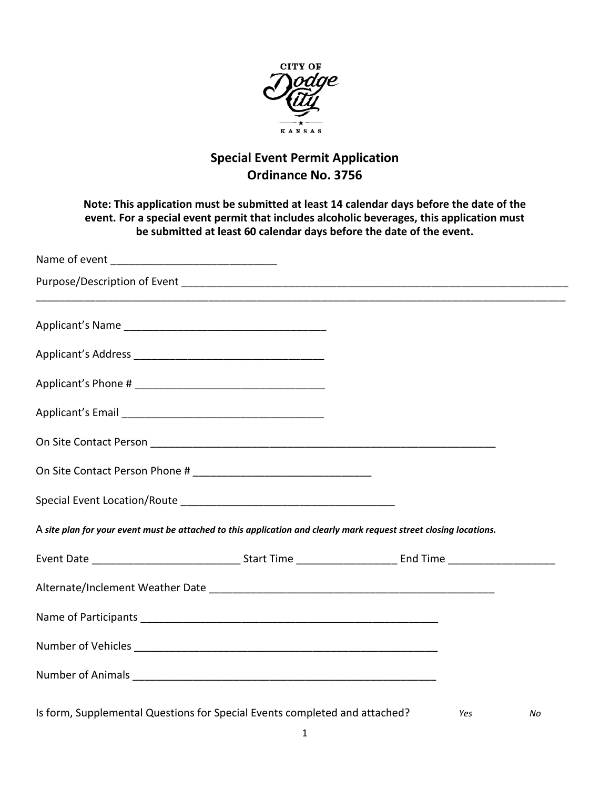

## **Special Event Permit Application Ordinance No. 3756**

## **Note: This application must be submitted at least 14 calendar days before the date of the event. For a special event permit that includes alcoholic beverages, this application must be submitted at least 60 calendar days before the date of the event.**

| A site plan for your event must be attached to this application and clearly mark request street closing locations. |  |     |    |
|--------------------------------------------------------------------------------------------------------------------|--|-----|----|
|                                                                                                                    |  |     |    |
|                                                                                                                    |  |     |    |
|                                                                                                                    |  |     |    |
|                                                                                                                    |  |     |    |
|                                                                                                                    |  |     |    |
| Is form, Supplemental Questions for Special Events completed and attached?                                         |  | Yes | No |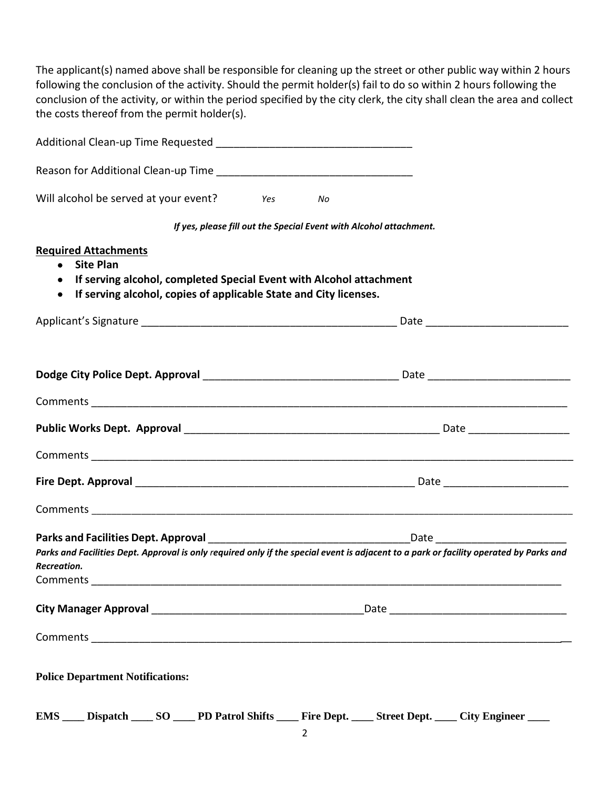The applicant(s) named above shall be responsible for cleaning up the street or other public way within 2 hours following the conclusion of the activity. Should the permit holder(s) fail to do so within 2 hours following the conclusion of the activity, or within the period specified by the city clerk, the city shall clean the area and collect the costs thereof from the permit holder(s).

| Will alcohol be served at your event? Yes                                                                                                                                 | No                                                                 |  |  |  |  |
|---------------------------------------------------------------------------------------------------------------------------------------------------------------------------|--------------------------------------------------------------------|--|--|--|--|
|                                                                                                                                                                           | If yes, please fill out the Special Event with Alcohol attachment. |  |  |  |  |
| <b>Required Attachments</b>                                                                                                                                               |                                                                    |  |  |  |  |
| • Site Plan<br>If serving alcohol, completed Special Event with Alcohol attachment<br>٠<br>If serving alcohol, copies of applicable State and City licenses.<br>$\bullet$ |                                                                    |  |  |  |  |
|                                                                                                                                                                           |                                                                    |  |  |  |  |
|                                                                                                                                                                           |                                                                    |  |  |  |  |
|                                                                                                                                                                           |                                                                    |  |  |  |  |
|                                                                                                                                                                           |                                                                    |  |  |  |  |
|                                                                                                                                                                           |                                                                    |  |  |  |  |
|                                                                                                                                                                           |                                                                    |  |  |  |  |
|                                                                                                                                                                           |                                                                    |  |  |  |  |
|                                                                                                                                                                           |                                                                    |  |  |  |  |
|                                                                                                                                                                           |                                                                    |  |  |  |  |
| Parks and Facilities Dept. Approval is only required only if the special event is adjacent to a park or facility operated by Parks and                                    |                                                                    |  |  |  |  |
| Recreation.<br>Comments                                                                                                                                                   |                                                                    |  |  |  |  |
|                                                                                                                                                                           |                                                                    |  |  |  |  |
|                                                                                                                                                                           |                                                                    |  |  |  |  |
| <b>Police Department Notifications:</b>                                                                                                                                   |                                                                    |  |  |  |  |
| <b>EMS</b><br>Dispatch ______ SO ______ PD Patrol Shifts ______ Fire Dept. ______ Street Dept. _____ City Engineer _____                                                  |                                                                    |  |  |  |  |